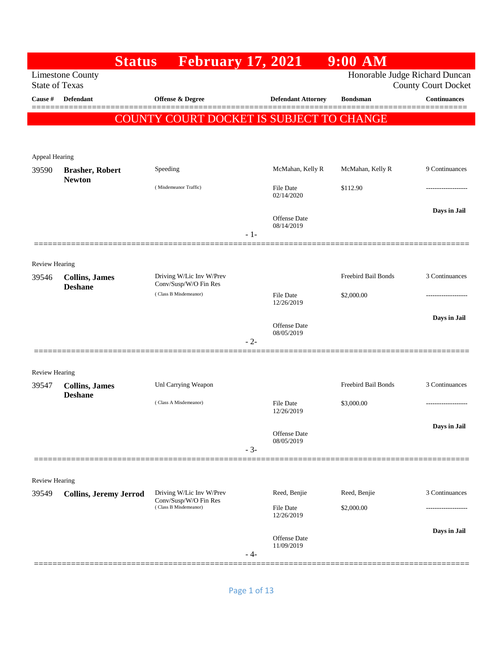|                         |                                         | <b>Status</b> | <b>February 17, 2021</b>                          |       |                                   | $9:00$ AM           |                                                              |
|-------------------------|-----------------------------------------|---------------|---------------------------------------------------|-------|-----------------------------------|---------------------|--------------------------------------------------------------|
| <b>State of Texas</b>   | <b>Limestone County</b>                 |               |                                                   |       |                                   |                     | Honorable Judge Richard Duncan<br><b>County Court Docket</b> |
| Cause #                 | <b>Defendant</b>                        |               | Offense & Degree                                  |       | <b>Defendant Attorney</b>         | <b>Bondsman</b>     | <b>Continuances</b><br>=======                               |
|                         |                                         |               | COUNTY COURT DOCKET IS SUBJECT TO CHANGE          |       |                                   |                     |                                                              |
|                         |                                         |               |                                                   |       |                                   |                     |                                                              |
| Appeal Hearing          |                                         |               |                                                   |       |                                   |                     |                                                              |
| 39590                   | <b>Brasher, Robert</b><br><b>Newton</b> |               | Speeding                                          |       | McMahan, Kelly R                  | McMahan, Kelly R    | 9 Continuances                                               |
|                         |                                         |               | (Misdemeanor Traffic)                             |       | File Date<br>02/14/2020           | \$112.90            |                                                              |
|                         |                                         |               |                                                   |       |                                   |                     | Days in Jail                                                 |
|                         |                                         |               |                                                   |       | Offense Date<br>08/14/2019        |                     |                                                              |
|                         |                                         |               |                                                   | $-1-$ |                                   |                     |                                                              |
| <b>Review Hearing</b>   |                                         |               |                                                   |       |                                   |                     |                                                              |
| 39546                   | <b>Collins, James</b>                   |               | Driving W/Lic Inv W/Prev<br>Conv/Susp/W/O Fin Res |       |                                   | Freebird Bail Bonds | 3 Continuances                                               |
|                         | <b>Deshane</b>                          |               | (Class B Misdemeanor)                             |       | File Date<br>12/26/2019           | \$2,000.00          |                                                              |
|                         |                                         |               |                                                   |       |                                   |                     | Days in Jail                                                 |
|                         |                                         |               |                                                   |       | <b>Offense</b> Date<br>08/05/2019 |                     |                                                              |
|                         |                                         |               |                                                   | $-2-$ |                                   |                     |                                                              |
| <b>Review Hearing</b>   |                                         |               |                                                   |       |                                   |                     |                                                              |
| 39547                   | <b>Collins, James</b>                   |               | Unl Carrying Weapon                               |       |                                   | Freebird Bail Bonds | 3 Continuances                                               |
|                         | <b>Deshane</b>                          |               | (Class A Misdemeanor)                             |       | <b>File Date</b>                  | \$3,000.00          | ------------------                                           |
|                         |                                         |               |                                                   |       | 12/26/2019                        |                     | Days in Jail                                                 |
|                         |                                         |               |                                                   |       | Offense Date<br>08/05/2019        |                     |                                                              |
|                         |                                         |               |                                                   | $-3-$ |                                   |                     |                                                              |
|                         |                                         |               |                                                   |       |                                   |                     |                                                              |
| Review Hearing<br>39549 | <b>Collins, Jeremy Jerrod</b>           |               | Driving W/Lic Inv W/Prev                          |       | Reed, Benjie                      | Reed, Benjie        | 3 Continuances                                               |
|                         |                                         |               | Conv/Susp/W/O Fin Res<br>(Class B Misdemeanor)    |       | File Date                         | \$2,000.00          |                                                              |
|                         |                                         |               |                                                   |       | 12/26/2019                        |                     | Days in Jail                                                 |
|                         |                                         |               |                                                   |       | <b>Offense Date</b><br>11/09/2019 |                     |                                                              |
|                         |                                         |               |                                                   | - 4-  |                                   |                     |                                                              |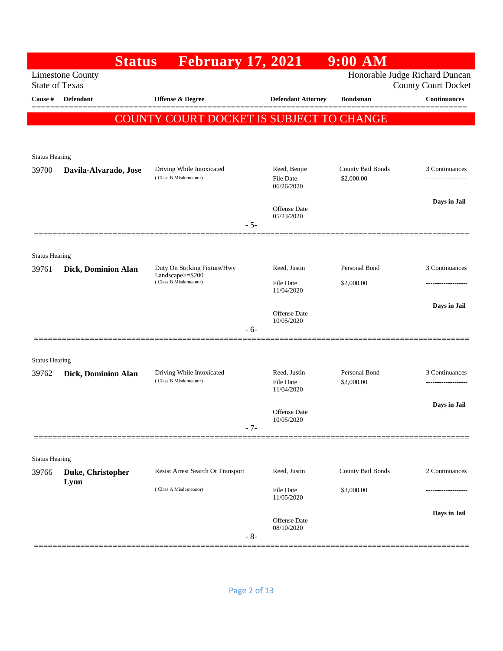|                                |                           | <b>Status</b> | <b>February 17, 2021</b>                           |       |                                  | $9:00$ AM                       |                                                              |
|--------------------------------|---------------------------|---------------|----------------------------------------------------|-------|----------------------------------|---------------------------------|--------------------------------------------------------------|
| <b>State of Texas</b>          | <b>Limestone County</b>   |               |                                                    |       |                                  |                                 | Honorable Judge Richard Duncan<br><b>County Court Docket</b> |
| Cause #                        | Defendant                 |               | Offense & Degree                                   |       | <b>Defendant Attorney</b>        | <b>Bondsman</b>                 | <b>Continuances</b>                                          |
|                                |                           |               | COUNTY COURT DOCKET IS SUBJECT TO CHANGE           |       |                                  |                                 |                                                              |
|                                |                           |               |                                                    |       |                                  |                                 |                                                              |
| <b>Status Hearing</b>          |                           |               |                                                    |       |                                  |                                 |                                                              |
| 39700                          | Davila-Alvarado, Jose     |               | Driving While Intoxicated<br>(Class B Misdemeanor) |       | Reed, Benjie<br><b>File Date</b> | County Bail Bonds<br>\$2,000.00 | 3 Continuances                                               |
|                                |                           |               |                                                    |       | 06/26/2020                       |                                 |                                                              |
|                                |                           |               |                                                    |       | <b>Offense</b> Date              |                                 | Days in Jail                                                 |
|                                |                           |               |                                                    | $-5-$ | 05/23/2020                       |                                 |                                                              |
|                                |                           |               |                                                    |       |                                  |                                 |                                                              |
| <b>Status Hearing</b><br>39761 | Dick, Dominion Alan       |               | Duty On Striking Fixture/Hwy                       |       | Reed, Justin                     | Personal Bond                   | 3 Continuances                                               |
|                                |                           |               | Landscape $>=$ \$200<br>(Class B Misdemeanor)      |       | <b>File Date</b>                 | \$2,000.00                      |                                                              |
|                                |                           |               |                                                    |       | 11/04/2020                       |                                 |                                                              |
|                                |                           |               |                                                    |       | Offense Date<br>10/05/2020       |                                 | Days in Jail                                                 |
|                                |                           |               |                                                    | $-6-$ |                                  |                                 |                                                              |
| <b>Status Hearing</b>          |                           |               |                                                    |       |                                  |                                 |                                                              |
| 39762                          | Dick, Dominion Alan       |               | Driving While Intoxicated                          |       | Reed, Justin                     | Personal Bond                   | 3 Continuances                                               |
|                                |                           |               | (Class B Misdemeanor)                              |       | <b>File Date</b><br>11/04/2020   | \$2,000.00                      | ------------------                                           |
|                                |                           |               |                                                    |       | <b>Offense</b> Date              |                                 | Days in Jail                                                 |
|                                |                           |               |                                                    | $-7-$ | $10/05/2020\,$                   |                                 |                                                              |
|                                |                           |               |                                                    |       |                                  |                                 |                                                              |
| <b>Status Hearing</b>          |                           |               |                                                    |       |                                  |                                 |                                                              |
| 39766                          | Duke, Christopher<br>Lynn |               | Resist Arrest Search Or Transport                  |       | Reed, Justin                     | County Bail Bonds               | 2 Continuances                                               |
|                                |                           |               | (Class A Misdemeanor)                              |       | File Date<br>11/05/2020          | \$3,000.00                      |                                                              |
|                                |                           |               |                                                    |       | Offense Date                     |                                 | Days in Jail                                                 |
|                                |                           |               |                                                    | $-8-$ | 08/10/2020                       |                                 |                                                              |
|                                |                           |               |                                                    |       |                                  |                                 |                                                              |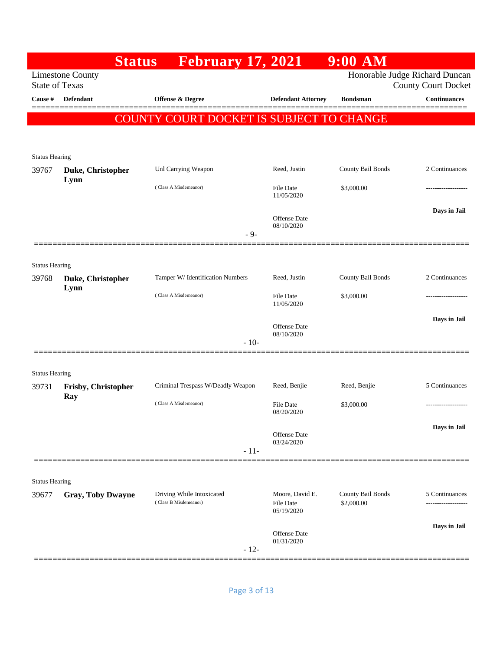|                       |                                   | <b>Status</b> | <b>February 17, 2021</b>                           |        |                                                   | $9:00$ AM                       |                                                              |
|-----------------------|-----------------------------------|---------------|----------------------------------------------------|--------|---------------------------------------------------|---------------------------------|--------------------------------------------------------------|
| <b>State of Texas</b> | <b>Limestone County</b>           |               |                                                    |        |                                                   |                                 | Honorable Judge Richard Duncan<br><b>County Court Docket</b> |
| Cause #               | Defendant                         |               | Offense & Degree                                   |        | <b>Defendant Attorney</b>                         | <b>Bondsman</b>                 | <b>Continuances</b><br>=======                               |
|                       |                                   |               | COUNTY COURT DOCKET IS SUBJECT TO CHANGE           |        |                                                   |                                 |                                                              |
|                       |                                   |               |                                                    |        |                                                   |                                 |                                                              |
| <b>Status Hearing</b> |                                   |               |                                                    |        |                                                   |                                 |                                                              |
| 39767                 | Duke, Christopher                 |               | Unl Carrying Weapon                                |        | Reed, Justin                                      | County Bail Bonds               | 2 Continuances                                               |
|                       | Lynn                              |               | (Class A Misdemeanor)                              |        | File Date<br>11/05/2020                           | \$3,000.00                      |                                                              |
|                       |                                   |               |                                                    |        | Offense Date                                      |                                 | Days in Jail                                                 |
|                       |                                   |               |                                                    | $-9-$  | 08/10/2020                                        |                                 |                                                              |
|                       |                                   |               |                                                    |        |                                                   |                                 |                                                              |
| <b>Status Hearing</b> |                                   |               |                                                    |        |                                                   |                                 |                                                              |
| 39768                 | Duke, Christopher<br>Lynn         |               | Tamper W/ Identification Numbers                   |        | Reed, Justin                                      | County Bail Bonds               | 2 Continuances                                               |
|                       |                                   |               | (Class A Misdemeanor)                              |        | <b>File Date</b><br>11/05/2020                    | \$3,000.00                      | ------------------                                           |
|                       |                                   |               |                                                    |        | Offense Date                                      |                                 | Days in Jail                                                 |
|                       |                                   |               |                                                    | $-10-$ | 08/10/2020                                        |                                 |                                                              |
|                       |                                   |               |                                                    |        |                                                   |                                 |                                                              |
| <b>Status Hearing</b> |                                   |               |                                                    |        |                                                   |                                 |                                                              |
| 39731                 | <b>Frisby, Christopher</b><br>Ray |               | Criminal Trespass W/Deadly Weapon                  |        | Reed, Benjie                                      | Reed, Benjie                    | 5 Continuances                                               |
|                       |                                   |               | (Class A Misdemeanor)                              |        | File Date<br>08/20/2020                           | \$3,000.00                      | -----------------                                            |
|                       |                                   |               |                                                    |        | <b>Offense</b> Date                               |                                 | Days in Jail                                                 |
|                       |                                   |               |                                                    | $-11-$ | 03/24/2020                                        |                                 |                                                              |
|                       |                                   |               |                                                    |        |                                                   |                                 |                                                              |
| <b>Status Hearing</b> |                                   |               |                                                    |        |                                                   |                                 |                                                              |
| 39677                 | <b>Gray, Toby Dwayne</b>          |               | Driving While Intoxicated<br>(Class B Misdemeanor) |        | Moore, David E.<br><b>File Date</b><br>05/19/2020 | County Bail Bonds<br>\$2,000.00 | 5 Continuances<br>.                                          |
|                       |                                   |               |                                                    |        |                                                   |                                 | Days in Jail                                                 |
|                       |                                   |               |                                                    | $-12-$ | Offense Date<br>01/31/2020                        |                                 |                                                              |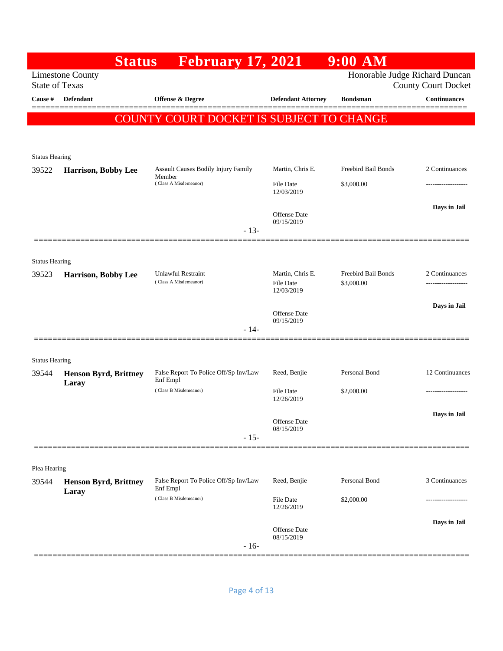|                       | <b>Status</b>                                    | <b>February 17, 2021</b>                          |                                | $9:00$ AM                      |                               |
|-----------------------|--------------------------------------------------|---------------------------------------------------|--------------------------------|--------------------------------|-------------------------------|
|                       | <b>Limestone County</b><br><b>State of Texas</b> |                                                   |                                | Honorable Judge Richard Duncan | <b>County Court Docket</b>    |
| Cause #               | Defendant                                        | Offense & Degree                                  | <b>Defendant Attorney</b>      | <b>Bondsman</b>                | <b>Continuances</b><br>====== |
|                       |                                                  | COUNTY COURT DOCKET IS SUBJECT TO CHANGE          |                                |                                |                               |
|                       |                                                  |                                                   |                                |                                |                               |
| <b>Status Hearing</b> |                                                  |                                                   |                                |                                |                               |
| 39522                 | Harrison, Bobby Lee                              | Assault Causes Bodily Injury Family<br>Member     | Martin, Chris E.               | Freebird Bail Bonds            | 2 Continuances                |
|                       |                                                  | (Class A Misdemeanor)                             | <b>File Date</b><br>12/03/2019 | \$3,000.00                     |                               |
|                       |                                                  |                                                   |                                |                                | Days in Jail                  |
|                       |                                                  |                                                   | Offense Date<br>09/15/2019     |                                |                               |
|                       |                                                  | $-13-$                                            |                                |                                |                               |
| <b>Status Hearing</b> |                                                  |                                                   |                                |                                |                               |
| 39523                 | Harrison, Bobby Lee                              | <b>Unlawful Restraint</b>                         | Martin, Chris E.               | Freebird Bail Bonds            | 2 Continuances                |
|                       |                                                  | (Class A Misdemeanor)                             | <b>File Date</b><br>12/03/2019 | \$3,000.00                     | .                             |
|                       |                                                  |                                                   | <b>Offense</b> Date            |                                | Days in Jail                  |
|                       |                                                  | $-14-$                                            | 09/15/2019                     |                                |                               |
|                       |                                                  |                                                   |                                |                                |                               |
| <b>Status Hearing</b> |                                                  |                                                   |                                |                                |                               |
| 39544                 | <b>Henson Byrd, Brittney</b><br>Laray            | False Report To Police Off/Sp Inv/Law<br>Enf Empl | Reed, Benjie                   | Personal Bond                  | 12 Continuances               |
|                       |                                                  | (Class B Misdemeanor)                             | <b>File Date</b><br>12/26/2019 | \$2,000.00                     |                               |
|                       |                                                  |                                                   |                                |                                | Days in Jail                  |
|                       |                                                  |                                                   | Offense Date<br>08/15/2019     |                                |                               |
|                       |                                                  | $-15-$                                            |                                |                                |                               |
| Plea Hearing          |                                                  |                                                   |                                |                                |                               |
| 39544                 | <b>Henson Byrd, Brittney</b>                     | False Report To Police Off/Sp Inv/Law             | Reed, Benjie                   | Personal Bond                  | 3 Continuances                |
|                       | Laray                                            | Enf Empl<br>(Class B Misdemeanor)                 | File Date                      | \$2,000.00                     |                               |
|                       |                                                  |                                                   | 12/26/2019                     |                                |                               |
|                       |                                                  |                                                   | Offense Date<br>08/15/2019     |                                | Days in Jail                  |
|                       |                                                  | $-16-$                                            |                                |                                |                               |
|                       |                                                  |                                                   |                                |                                |                               |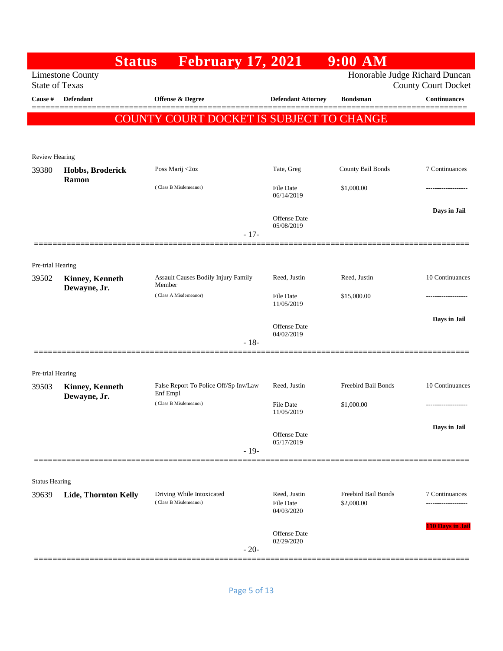|                            |                                                  | <b>Status</b> | <b>February 17, 2021</b>                           |        |                                                | $9:00$ AM                         |                                                              |
|----------------------------|--------------------------------------------------|---------------|----------------------------------------------------|--------|------------------------------------------------|-----------------------------------|--------------------------------------------------------------|
|                            | <b>Limestone County</b><br><b>State of Texas</b> |               |                                                    |        |                                                |                                   | Honorable Judge Richard Duncan<br><b>County Court Docket</b> |
| Cause #                    | <b>Defendant</b>                                 |               | <b>Offense &amp; Degree</b>                        |        | <b>Defendant Attorney</b>                      | <b>Bondsman</b>                   | <b>Continuances</b><br>======                                |
|                            |                                                  |               | COUNTY COURT DOCKET IS SUBJECT TO CHANGE           |        |                                                |                                   |                                                              |
|                            |                                                  |               |                                                    |        |                                                |                                   |                                                              |
| Review Hearing             |                                                  |               |                                                    |        |                                                |                                   |                                                              |
| 39380                      | Hobbs, Broderick                                 |               | Poss Marij <2oz                                    |        | Tate, Greg                                     | County Bail Bonds                 | 7 Continuances                                               |
|                            | Ramon                                            |               | (Class B Misdemeanor)                              |        | <b>File Date</b><br>06/14/2019                 | \$1,000.00                        |                                                              |
|                            |                                                  |               |                                                    |        | <b>Offense</b> Date<br>05/08/2019              |                                   | Days in Jail                                                 |
|                            |                                                  |               |                                                    | $-17-$ |                                                |                                   |                                                              |
| Pre-trial Hearing          |                                                  |               |                                                    |        |                                                |                                   |                                                              |
| 39502                      | Kinney, Kenneth<br>Dewayne, Jr.                  | Member        | Assault Causes Bodily Injury Family                |        | Reed, Justin                                   | Reed, Justin                      | 10 Continuances                                              |
|                            |                                                  |               | (Class A Misdemeanor)                              |        | <b>File Date</b><br>11/05/2019                 | \$15,000.00                       |                                                              |
|                            |                                                  |               |                                                    |        | <b>Offense</b> Date<br>04/02/2019              |                                   | Days in Jail                                                 |
|                            |                                                  |               |                                                    | $-18-$ |                                                |                                   |                                                              |
|                            |                                                  |               |                                                    |        |                                                |                                   |                                                              |
| Pre-trial Hearing<br>39503 | Kinney, Kenneth                                  |               | False Report To Police Off/Sp Inv/Law<br>Enf Empl  |        | Reed, Justin                                   | Freebird Bail Bonds               | 10 Continuances                                              |
|                            | Dewayne, Jr.                                     |               | (Class B Misdemeanor)                              |        | <b>File Date</b><br>11/05/2019                 | \$1,000.00                        |                                                              |
|                            |                                                  |               |                                                    |        | Offense Date                                   |                                   | Days in Jail                                                 |
|                            |                                                  |               |                                                    | $-19-$ | 05/17/2019                                     |                                   |                                                              |
|                            |                                                  |               |                                                    |        |                                                |                                   |                                                              |
| <b>Status Hearing</b>      |                                                  |               |                                                    |        |                                                |                                   |                                                              |
| 39639                      | Lide, Thornton Kelly                             |               | Driving While Intoxicated<br>(Class B Misdemeanor) |        | Reed, Justin<br><b>File Date</b><br>04/03/2020 | Freebird Bail Bonds<br>\$2,000.00 | 7 Continuances                                               |
|                            |                                                  |               |                                                    | $-20-$ | <b>Offense</b> Date<br>02/29/2020              |                                   | 110 Days in Jail                                             |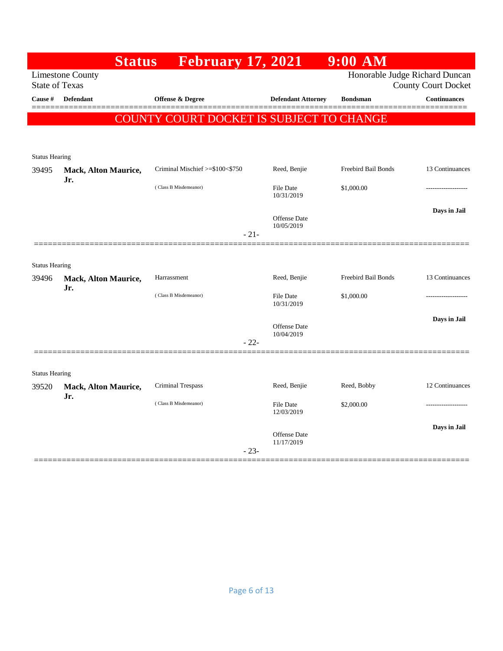|                       |                                    | <b>Status</b> February 17, 2021          |        |                                   | 9:00 AM             |                                |
|-----------------------|------------------------------------|------------------------------------------|--------|-----------------------------------|---------------------|--------------------------------|
|                       | <b>Limestone County</b>            |                                          |        |                                   |                     | Honorable Judge Richard Duncan |
| <b>State of Texas</b> |                                    |                                          |        |                                   |                     | <b>County Court Docket</b>     |
| Cause #               | <b>Defendant</b>                   | <b>Offense &amp; Degree</b>              |        | <b>Defendant Attorney</b>         | <b>Bondsman</b>     | <b>Continuances</b>            |
|                       |                                    | COUNTY COURT DOCKET IS SUBJECT TO CHANGE |        |                                   |                     |                                |
|                       |                                    |                                          |        |                                   |                     |                                |
| <b>Status Hearing</b> |                                    |                                          |        |                                   |                     |                                |
| 39495                 | Mack, Alton Maurice,<br>Jr.        | Criminal Mischief >=\$100<\$750          |        | Reed, Benjie                      | Freebird Bail Bonds | 13 Continuances                |
|                       |                                    | (Class B Misdemeanor)                    |        | <b>File Date</b><br>10/31/2019    | \$1,000.00          |                                |
|                       |                                    |                                          |        | <b>Offense Date</b><br>10/05/2019 |                     | Days in Jail                   |
|                       |                                    |                                          | $-21-$ |                                   |                     |                                |
|                       |                                    |                                          |        |                                   |                     |                                |
| <b>Status Hearing</b> |                                    |                                          |        |                                   |                     |                                |
| 39496                 | Mack, Alton Maurice,               | Harrassment                              |        | Reed, Benjie                      | Freebird Bail Bonds | 13 Continuances                |
|                       | Jr.                                | (Class B Misdemeanor)                    |        | <b>File Date</b><br>10/31/2019    | \$1,000.00          |                                |
|                       |                                    |                                          |        | Offense Date                      |                     | Days in Jail                   |
|                       |                                    |                                          | $-22-$ | 10/04/2019                        |                     |                                |
| <b>Status Hearing</b> |                                    |                                          |        |                                   |                     |                                |
| 39520                 | <b>Mack, Alton Maurice,</b><br>Jr. | <b>Criminal Trespass</b>                 |        | Reed, Benjie                      | Reed, Bobby         | 12 Continuances                |
|                       |                                    | (Class B Misdemeanor)                    |        | <b>File Date</b><br>12/03/2019    | \$2,000.00          |                                |
|                       |                                    |                                          |        | Offense Date<br>11/17/2019        |                     | Days in Jail                   |
|                       |                                    |                                          | $-23-$ |                                   |                     |                                |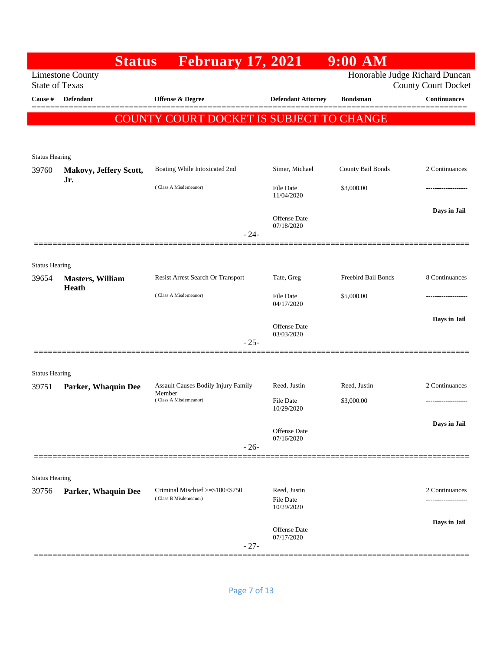|                                | <b>Status</b>           | <b>February 17, 2021</b>                                 |                                                | $9:00$ AM           |                                                              |
|--------------------------------|-------------------------|----------------------------------------------------------|------------------------------------------------|---------------------|--------------------------------------------------------------|
| <b>State of Texas</b>          | <b>Limestone County</b> |                                                          |                                                |                     | Honorable Judge Richard Duncan<br><b>County Court Docket</b> |
| Cause #                        | <b>Defendant</b>        | Offense & Degree                                         | <b>Defendant Attorney</b>                      | <b>Bondsman</b>     | <b>Continuances</b><br>=======                               |
|                                |                         | COUNTY COURT DOCKET IS SUBJECT TO CHANGE                 |                                                |                     |                                                              |
|                                |                         |                                                          |                                                |                     |                                                              |
| <b>Status Hearing</b>          |                         |                                                          |                                                |                     |                                                              |
| 39760                          | Makovy, Jeffery Scott,  | Boating While Intoxicated 2nd                            | Simer, Michael                                 | County Bail Bonds   | 2 Continuances                                               |
|                                | Jr.                     | (Class A Misdemeanor)                                    | File Date<br>11/04/2020                        | \$3,000.00          |                                                              |
|                                |                         |                                                          | Offense Date<br>07/18/2020                     |                     | Days in Jail                                                 |
|                                |                         | $-24-$                                                   |                                                |                     |                                                              |
| <b>Status Hearing</b>          |                         |                                                          |                                                |                     |                                                              |
| 39654                          | <b>Masters, William</b> | Resist Arrest Search Or Transport                        | Tate, Greg                                     | Freebird Bail Bonds | 8 Continuances                                               |
|                                | Heath                   | (Class A Misdemeanor)                                    | File Date<br>04/17/2020                        | \$5,000.00          | .                                                            |
|                                |                         |                                                          | Offense Date                                   |                     | Days in Jail                                                 |
|                                |                         | $-25-$                                                   | 03/03/2020                                     |                     |                                                              |
|                                |                         |                                                          |                                                |                     |                                                              |
| <b>Status Hearing</b><br>39751 | Parker, Whaquin Dee     | <b>Assault Causes Bodily Injury Family</b>               | Reed, Justin                                   | Reed, Justin        | 2 Continuances                                               |
|                                |                         | Member<br>(Class A Misdemeanor)                          | <b>File Date</b>                               | \$3,000.00          | ------------------                                           |
|                                |                         |                                                          | 10/29/2020                                     |                     |                                                              |
|                                |                         |                                                          | <b>Offense</b> Date<br>07/16/2020              |                     | Days in Jail                                                 |
|                                |                         | $-26-$                                                   |                                                |                     |                                                              |
|                                |                         |                                                          |                                                |                     |                                                              |
| <b>Status Hearing</b>          |                         |                                                          |                                                |                     |                                                              |
| 39756                          | Parker, Whaquin Dee     | Criminal Mischief >=\$100<\$750<br>(Class B Misdemeanor) | Reed, Justin<br><b>File Date</b><br>10/29/2020 |                     | 2 Continuances<br>------------------                         |
|                                |                         |                                                          | <b>Offense</b> Date<br>07/17/2020              |                     | Days in Jail                                                 |
|                                |                         | $-27-$                                                   |                                                |                     |                                                              |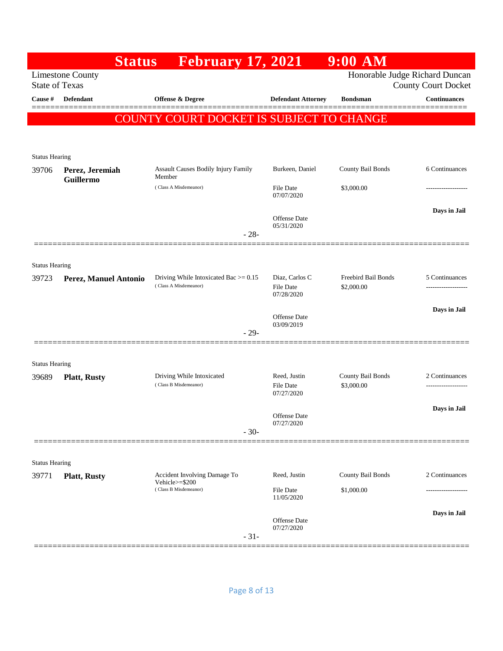|                                | <b>Status</b>           | <b>February 17, 2021</b>                                            |                                    | 9:00 AM                           |                                                              |
|--------------------------------|-------------------------|---------------------------------------------------------------------|------------------------------------|-----------------------------------|--------------------------------------------------------------|
| <b>State of Texas</b>          | <b>Limestone County</b> |                                                                     |                                    |                                   | Honorable Judge Richard Duncan<br><b>County Court Docket</b> |
| Cause #                        | Defendant               | Offense & Degree                                                    | <b>Defendant Attorney</b>          | <b>Bondsman</b>                   | <b>Continuances</b>                                          |
|                                |                         | COUNTY COURT DOCKET IS SUBJECT TO CHANGE                            |                                    |                                   | =======                                                      |
|                                |                         |                                                                     |                                    |                                   |                                                              |
| <b>Status Hearing</b>          |                         |                                                                     |                                    |                                   |                                                              |
| 39706                          | Perez, Jeremiah         | Assault Causes Bodily Injury Family                                 | Burkeen, Daniel                    | County Bail Bonds                 | 6 Continuances                                               |
|                                | <b>Guillermo</b>        | Member<br>(Class A Misdemeanor)                                     | <b>File Date</b><br>07/07/2020     | \$3,000.00                        |                                                              |
|                                |                         |                                                                     | Offense Date<br>05/31/2020         |                                   | Days in Jail                                                 |
|                                |                         | $-28-$                                                              |                                    |                                   |                                                              |
|                                |                         |                                                                     |                                    |                                   |                                                              |
| <b>Status Hearing</b><br>39723 | Perez, Manuel Antonio   | Driving While Intoxicated Bac $\ge$ = 0.15<br>(Class A Misdemeanor) | Diaz, Carlos C<br><b>File Date</b> | Freebird Bail Bonds<br>\$2,000.00 | 5 Continuances<br>.                                          |
|                                |                         |                                                                     | 07/28/2020                         |                                   |                                                              |
|                                |                         |                                                                     | Offense Date<br>03/09/2019         |                                   | Days in Jail                                                 |
|                                |                         | $-29-$                                                              |                                    |                                   |                                                              |
|                                |                         |                                                                     |                                    |                                   |                                                              |
| <b>Status Hearing</b><br>39689 | <b>Platt, Rusty</b>     | Driving While Intoxicated                                           | Reed, Justin                       | County Bail Bonds                 | 2 Continuances                                               |
|                                |                         | (Class B Misdemeanor)                                               | <b>File Date</b><br>07/27/2020     | \$3,000.00                        | ----------------                                             |
|                                |                         |                                                                     | Offense Date                       |                                   | Days in Jail                                                 |
|                                |                         | $-30-$                                                              | 07/27/2020                         |                                   |                                                              |
|                                |                         |                                                                     |                                    |                                   |                                                              |
| <b>Status Hearing</b>          |                         |                                                                     |                                    |                                   |                                                              |
| 39771                          | <b>Platt, Rusty</b>     | Accident Involving Damage To<br>Vehicle>=\$200                      | Reed, Justin                       | County Bail Bonds                 | 2 Continuances                                               |
|                                |                         | (Class B Misdemeanor)                                               | File Date<br>11/05/2020            | \$1,000.00                        |                                                              |
|                                |                         |                                                                     | <b>Offense</b> Date                |                                   | Days in Jail                                                 |
|                                |                         | $-31-$                                                              | 07/27/2020                         |                                   |                                                              |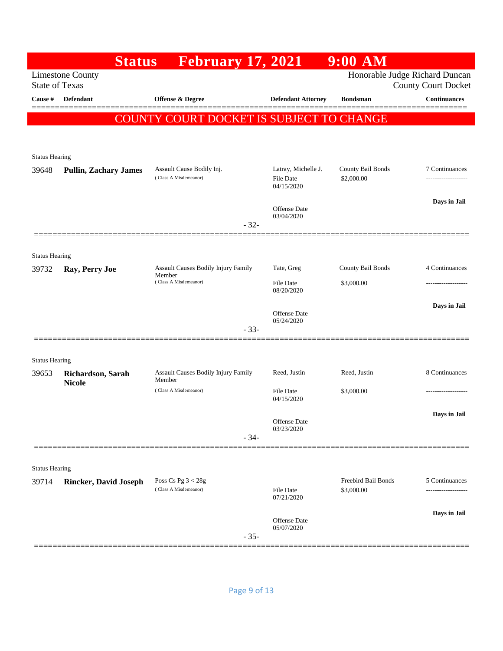| <b>Limestone County</b><br><b>State of Texas</b><br>Cause #<br><b>Defendant</b><br><b>Offense &amp; Degree</b><br><b>Defendant Attorney</b><br><b>Bondsman</b><br>COUNTY COURT DOCKET IS SUBJECT TO CHANGE<br><b>Status Hearing</b><br>Latray, Michelle J.<br>County Bail Bonds<br>Assault Cause Bodily Inj.<br>39648<br><b>Pullin, Zachary James</b><br>(Class A Misdemeanor)<br>\$2,000.00<br>File Date<br>04/15/2020<br><b>Offense</b> Date<br>03/04/2020<br>$-32-$<br><b>Status Hearing</b><br>County Bail Bonds<br>Assault Causes Bodily Injury Family<br>Tate, Greg<br>Ray, Perry Joe<br>39732<br>Member<br>(Class A Misdemeanor)<br><b>File Date</b><br>\$3,000.00<br>08/20/2020 | $9:00$ AM                                                    |
|-----------------------------------------------------------------------------------------------------------------------------------------------------------------------------------------------------------------------------------------------------------------------------------------------------------------------------------------------------------------------------------------------------------------------------------------------------------------------------------------------------------------------------------------------------------------------------------------------------------------------------------------------------------------------------------------|--------------------------------------------------------------|
|                                                                                                                                                                                                                                                                                                                                                                                                                                                                                                                                                                                                                                                                                         | Honorable Judge Richard Duncan<br><b>County Court Docket</b> |
|                                                                                                                                                                                                                                                                                                                                                                                                                                                                                                                                                                                                                                                                                         | <b>Continuances</b>                                          |
|                                                                                                                                                                                                                                                                                                                                                                                                                                                                                                                                                                                                                                                                                         |                                                              |
|                                                                                                                                                                                                                                                                                                                                                                                                                                                                                                                                                                                                                                                                                         |                                                              |
|                                                                                                                                                                                                                                                                                                                                                                                                                                                                                                                                                                                                                                                                                         |                                                              |
|                                                                                                                                                                                                                                                                                                                                                                                                                                                                                                                                                                                                                                                                                         | 7 Continuances                                               |
|                                                                                                                                                                                                                                                                                                                                                                                                                                                                                                                                                                                                                                                                                         | -----------------                                            |
|                                                                                                                                                                                                                                                                                                                                                                                                                                                                                                                                                                                                                                                                                         | Days in Jail                                                 |
|                                                                                                                                                                                                                                                                                                                                                                                                                                                                                                                                                                                                                                                                                         |                                                              |
|                                                                                                                                                                                                                                                                                                                                                                                                                                                                                                                                                                                                                                                                                         |                                                              |
|                                                                                                                                                                                                                                                                                                                                                                                                                                                                                                                                                                                                                                                                                         |                                                              |
|                                                                                                                                                                                                                                                                                                                                                                                                                                                                                                                                                                                                                                                                                         | 4 Continuances                                               |
|                                                                                                                                                                                                                                                                                                                                                                                                                                                                                                                                                                                                                                                                                         | ----------------                                             |
|                                                                                                                                                                                                                                                                                                                                                                                                                                                                                                                                                                                                                                                                                         | Days in Jail                                                 |
| Offense Date<br>05/24/2020<br>$-33-$                                                                                                                                                                                                                                                                                                                                                                                                                                                                                                                                                                                                                                                    |                                                              |
|                                                                                                                                                                                                                                                                                                                                                                                                                                                                                                                                                                                                                                                                                         |                                                              |
| <b>Status Hearing</b>                                                                                                                                                                                                                                                                                                                                                                                                                                                                                                                                                                                                                                                                   |                                                              |
| Assault Causes Bodily Injury Family<br>Reed, Justin<br>Reed, Justin<br>39653<br>Richardson, Sarah<br>Member                                                                                                                                                                                                                                                                                                                                                                                                                                                                                                                                                                             | 8 Continuances                                               |
| <b>Nicole</b><br>(Class A Misdemeanor)<br><b>File Date</b><br>\$3,000.00                                                                                                                                                                                                                                                                                                                                                                                                                                                                                                                                                                                                                |                                                              |
| 04/15/2020                                                                                                                                                                                                                                                                                                                                                                                                                                                                                                                                                                                                                                                                              | Days in Jail                                                 |
| Offense Date<br>03/23/2020                                                                                                                                                                                                                                                                                                                                                                                                                                                                                                                                                                                                                                                              |                                                              |
| $-34-$                                                                                                                                                                                                                                                                                                                                                                                                                                                                                                                                                                                                                                                                                  |                                                              |
|                                                                                                                                                                                                                                                                                                                                                                                                                                                                                                                                                                                                                                                                                         |                                                              |
| <b>Status Hearing</b><br>Freebird Bail Bonds<br>Poss Cs Pg $3 < 28g$<br>39714<br><b>Rincker, David Joseph</b>                                                                                                                                                                                                                                                                                                                                                                                                                                                                                                                                                                           | 5 Continuances                                               |
| (Class A Misdemeanor)<br>\$3,000.00<br>File Date<br>07/21/2020                                                                                                                                                                                                                                                                                                                                                                                                                                                                                                                                                                                                                          | .                                                            |
|                                                                                                                                                                                                                                                                                                                                                                                                                                                                                                                                                                                                                                                                                         | Days in Jail                                                 |
| Offense Date<br>05/07/2020                                                                                                                                                                                                                                                                                                                                                                                                                                                                                                                                                                                                                                                              |                                                              |
| $-35-$                                                                                                                                                                                                                                                                                                                                                                                                                                                                                                                                                                                                                                                                                  |                                                              |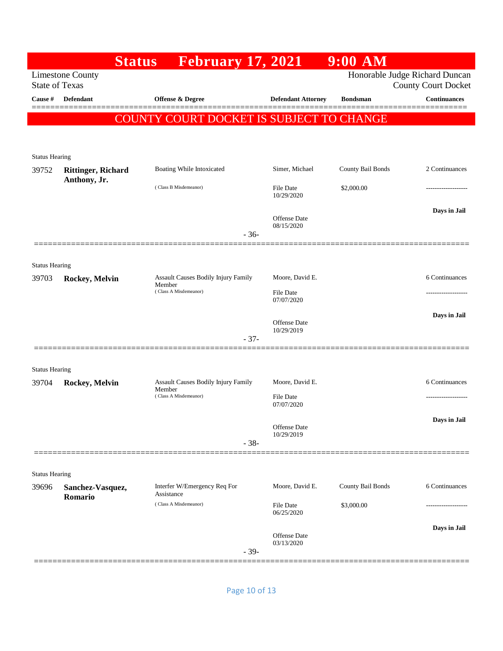|                       |                             | <b>February 17, 2021</b><br><b>Status</b>            |        |                                   | 9:00 AM           |                                                              |
|-----------------------|-----------------------------|------------------------------------------------------|--------|-----------------------------------|-------------------|--------------------------------------------------------------|
| <b>State of Texas</b> | <b>Limestone County</b>     |                                                      |        |                                   |                   | Honorable Judge Richard Duncan<br><b>County Court Docket</b> |
| Cause #               | Defendant                   | Offense & Degree                                     |        | <b>Defendant Attorney</b>         | <b>Bondsman</b>   | <b>Continuances</b>                                          |
|                       |                             | 'Y COURT DOCKET IS SUBJECT TO CHANGE<br><b>COUNT</b> |        |                                   |                   |                                                              |
| <b>Status Hearing</b> |                             |                                                      |        |                                   |                   |                                                              |
| 39752                 | <b>Rittinger, Richard</b>   | Boating While Intoxicated                            |        | Simer, Michael                    | County Bail Bonds | 2 Continuances                                               |
|                       | Anthony, Jr.                | (Class B Misdemeanor)                                |        | File Date<br>10/29/2020           | \$2,000.00        |                                                              |
|                       |                             |                                                      | $-36-$ | <b>Offense</b> Date<br>08/15/2020 |                   | Days in Jail                                                 |
|                       |                             |                                                      |        |                                   |                   |                                                              |
| <b>Status Hearing</b> |                             |                                                      |        |                                   |                   |                                                              |
| 39703                 | Rockey, Melvin              | Assault Causes Bodily Injury Family<br>Member        |        | Moore, David E.                   |                   | 6 Continuances                                               |
|                       |                             | (Class A Misdemeanor)                                |        | File Date<br>07/07/2020           |                   |                                                              |
|                       |                             |                                                      |        | Offense Date<br>10/29/2019        |                   | Days in Jail                                                 |
|                       |                             |                                                      | $-37-$ |                                   |                   |                                                              |
| <b>Status Hearing</b> |                             |                                                      |        |                                   |                   |                                                              |
| 39704                 | Rockey, Melvin              | Assault Causes Bodily Injury Family<br>Member        |        | Moore, David E.                   |                   | 6 Continuances                                               |
|                       |                             | (Class A Misdemeanor)                                |        | <b>File Date</b><br>07/07/2020    |                   | ------------------                                           |
|                       |                             |                                                      |        | Offense Date<br>10/29/2019        |                   | Days in Jail                                                 |
|                       |                             |                                                      | $-38-$ |                                   |                   |                                                              |
| <b>Status Hearing</b> |                             |                                                      |        |                                   |                   |                                                              |
| 39696                 | Sanchez-Vasquez,<br>Romario | Interfer W/Emergency Req For<br>Assistance           |        | Moore, David E.                   | County Bail Bonds | 6 Continuances                                               |
|                       |                             | (Class A Misdemeanor)                                |        | File Date<br>06/25/2020           | \$3,000.00        |                                                              |
|                       |                             |                                                      |        | Offense Date<br>03/13/2020        |                   | Days in Jail                                                 |
|                       |                             |                                                      | $-39-$ |                                   |                   |                                                              |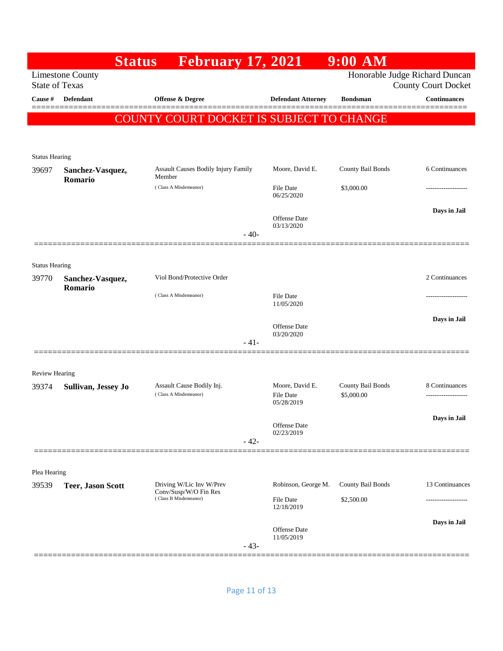|                                |                                                  | <b>Status</b>         | <b>February 17, 2021</b>                           |                                |                                                   | $9:00$ AM                       |                                                              |
|--------------------------------|--------------------------------------------------|-----------------------|----------------------------------------------------|--------------------------------|---------------------------------------------------|---------------------------------|--------------------------------------------------------------|
|                                | <b>Limestone County</b><br><b>State of Texas</b> |                       |                                                    |                                |                                                   |                                 | Honorable Judge Richard Duncan<br><b>County Court Docket</b> |
| Cause #                        | Defendant                                        |                       | Offense & Degree                                   |                                | <b>Defendant Attorney</b>                         | <b>Bondsman</b>                 | <b>Continuances</b><br>=======                               |
|                                |                                                  |                       | COUNTY COURT DOCKET IS SUBJECT TO CHANGE           |                                |                                                   |                                 |                                                              |
|                                |                                                  |                       |                                                    |                                |                                                   |                                 |                                                              |
| <b>Status Hearing</b>          |                                                  |                       |                                                    |                                |                                                   |                                 |                                                              |
| 39697                          | Sanchez-Vasquez,                                 |                       | Assault Causes Bodily Injury Family<br>Member      |                                | Moore, David E.                                   | County Bail Bonds               | 6 Continuances                                               |
|                                | Romario                                          |                       | (Class A Misdemeanor)                              |                                | File Date<br>06/25/2020                           | \$3,000.00                      |                                                              |
|                                |                                                  |                       |                                                    |                                | Offense Date<br>03/13/2020                        |                                 | Days in Jail                                                 |
|                                |                                                  |                       |                                                    | $-40-$                         |                                                   |                                 |                                                              |
|                                |                                                  |                       |                                                    |                                |                                                   |                                 |                                                              |
| <b>Status Hearing</b><br>39770 | Sanchez-Vasquez,                                 |                       | Viol Bond/Protective Order                         |                                |                                                   |                                 | 2 Continuances                                               |
|                                | Romario                                          |                       | (Class A Misdemeanor)                              |                                | File Date<br>11/05/2020                           |                                 | -----------------                                            |
|                                |                                                  |                       |                                                    |                                | Offense Date                                      |                                 | Days in Jail                                                 |
|                                |                                                  |                       |                                                    | $-41-$                         | 03/20/2020                                        |                                 |                                                              |
|                                |                                                  |                       |                                                    |                                |                                                   |                                 |                                                              |
| <b>Review Hearing</b>          |                                                  |                       |                                                    |                                |                                                   |                                 |                                                              |
| 39374                          | Sullivan, Jessey Jo                              |                       | Assault Cause Bodily Inj.<br>(Class A Misdemeanor) |                                | Moore, David E.<br><b>File Date</b><br>05/28/2019 | County Bail Bonds<br>\$5,000.00 | 8 Continuances                                               |
|                                |                                                  |                       |                                                    |                                |                                                   |                                 | Days in Jail                                                 |
|                                |                                                  |                       |                                                    |                                | Offense Date<br>02/23/2019                        |                                 |                                                              |
|                                |                                                  |                       |                                                    | $-42-$                         |                                                   |                                 |                                                              |
| Plea Hearing                   |                                                  |                       |                                                    |                                |                                                   |                                 |                                                              |
| 39539                          | <b>Teer, Jason Scott</b>                         |                       | Driving W/Lic Inv W/Prev<br>Conv/Susp/W/O Fin Res  |                                | Robinson, George M.                               | County Bail Bonds               | 13 Continuances                                              |
|                                |                                                  | (Class B Misdemeanor) |                                                    | <b>File Date</b><br>12/18/2019 | \$2,500.00                                        |                                 |                                                              |
|                                |                                                  |                       |                                                    |                                | <b>Offense</b> Date<br>11/05/2019                 |                                 | Days in Jail                                                 |
| =====                          |                                                  |                       |                                                    | $-43-$                         |                                                   |                                 |                                                              |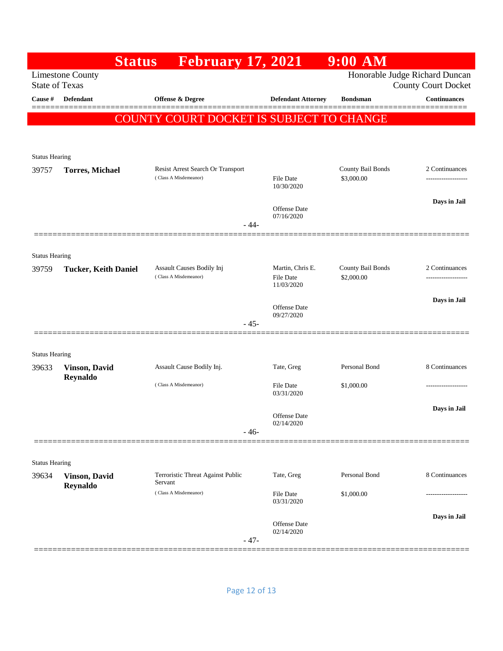|                       |                                  | <b>Status</b> | <b>February 17, 2021</b>                           |        |                                      | $9:00$ AM                       |                                                              |
|-----------------------|----------------------------------|---------------|----------------------------------------------------|--------|--------------------------------------|---------------------------------|--------------------------------------------------------------|
| <b>State of Texas</b> | <b>Limestone County</b>          |               |                                                    |        |                                      |                                 | Honorable Judge Richard Duncan<br><b>County Court Docket</b> |
| Cause #               | <b>Defendant</b>                 |               | <b>Offense &amp; Degree</b>                        |        | <b>Defendant Attorney</b>            | <b>Bondsman</b>                 | <b>Continuances</b>                                          |
|                       |                                  |               | COUNTY COURT DOCKET IS SUBJECT TO CHANGE           |        |                                      |                                 |                                                              |
|                       |                                  |               |                                                    |        |                                      |                                 |                                                              |
| <b>Status Hearing</b> |                                  |               |                                                    |        |                                      |                                 |                                                              |
| 39757                 | <b>Torres, Michael</b>           |               | Resist Arrest Search Or Transport                  |        |                                      | County Bail Bonds               | 2 Continuances                                               |
|                       |                                  |               | (Class A Misdemeanor)                              |        | File Date<br>10/30/2020              | \$3,000.00                      | ------------------                                           |
|                       |                                  |               |                                                    |        | <b>Offense</b> Date                  |                                 | Days in Jail                                                 |
|                       |                                  |               |                                                    | $-44-$ | 07/16/2020                           |                                 |                                                              |
|                       |                                  |               |                                                    |        |                                      |                                 |                                                              |
| <b>Status Hearing</b> |                                  |               |                                                    |        |                                      |                                 |                                                              |
| 39759                 | <b>Tucker, Keith Daniel</b>      |               | Assault Causes Bodily Inj<br>(Class A Misdemeanor) |        | Martin, Chris E.<br><b>File Date</b> | County Bail Bonds<br>\$2,000.00 | 2 Continuances<br>------------------                         |
|                       |                                  |               |                                                    |        | 11/03/2020                           |                                 |                                                              |
|                       |                                  |               |                                                    |        | <b>Offense</b> Date                  |                                 | Days in Jail                                                 |
|                       |                                  |               |                                                    | $-45-$ | 09/27/2020                           |                                 |                                                              |
|                       |                                  |               |                                                    |        |                                      |                                 |                                                              |
| <b>Status Hearing</b> |                                  |               |                                                    |        |                                      |                                 |                                                              |
| 39633                 | <b>Vinson, David</b><br>Reynaldo |               | Assault Cause Bodily Inj.                          |        | Tate, Greg                           | Personal Bond                   | 8 Continuances                                               |
|                       |                                  |               | (Class A Misdemeanor)                              |        | <b>File Date</b><br>03/31/2020       | \$1,000.00                      |                                                              |
|                       |                                  |               |                                                    |        |                                      |                                 | Days in Jail                                                 |
|                       |                                  |               |                                                    | $-46-$ | <b>Offense</b> Date<br>02/14/2020    |                                 |                                                              |
|                       |                                  |               |                                                    |        |                                      |                                 |                                                              |
| <b>Status Hearing</b> |                                  |               |                                                    |        |                                      |                                 |                                                              |
| 39634                 | <b>Vinson, David</b>             | Servant       | Terroristic Threat Against Public                  |        | Tate, Greg                           | Personal Bond                   | 8 Continuances                                               |
|                       | Reynaldo                         |               | (Class A Misdemeanor)                              |        | <b>File Date</b>                     | \$1,000.00                      |                                                              |
|                       |                                  |               |                                                    |        | 03/31/2020                           |                                 | Days in Jail                                                 |
|                       |                                  |               |                                                    |        | <b>Offense</b> Date<br>02/14/2020    |                                 |                                                              |
|                       |                                  |               |                                                    | $-47-$ |                                      |                                 |                                                              |